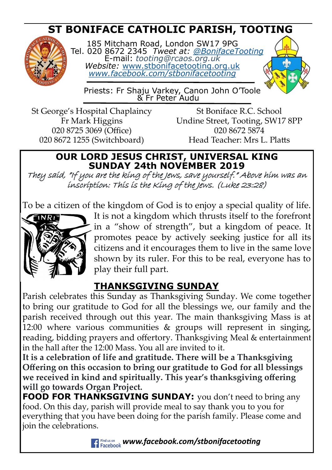# **ST BONIFACE CATHOLIC PARISH, TOOTING**



185 Mitcham Road, London SW17 9PG Tel. 020 8672 2345 *Tweet at: [@BonifaceTooting](http://twitter.com/bonifacetooting)* E-mail: *tooting@rcaos.org.uk Website:* [www.stbonifacetooting.org.uk](http://www.stbonifacetooting.org.uk) *[www.facebook.com/stbonifacetooting](http://www.facebook.com/stbonifacetooting)*



 Priests: Fr Shaju Varkey, Canon John O'Toole & Fr Peter Audu

St George's Hospital Chaplaincy Fr Mark Higgins 020 8725 3069 (Office) 020 8672 1255 (Switchboard)

St Boniface R.C. School Undine Street, Tooting, SW17 8PP 020 8672 5874 Head Teacher: Mrs L. Platts

#### **OUR LORD JESUS CHRIST, UNIVERSAL KING SUNDAY 24th NOVEMBER 2019**

They said, "If you are the king of the Jews, save yourself." Above him was an inscription: This is the King of the Jews. (Luke 23:28)

To be a citizen of the kingdom of God is to enjoy a special quality of life.



It is not a kingdom which thrusts itself to the forefront in a "show of strength", but a kingdom of peace. It promotes peace by actively seeking justice for all its citizens and it encourages them to live in the same love shown by its ruler. For this to be real, everyone has to play their full part.

# **THANKSGIVING SUNDAY**

Parish celebrates this Sunday as Thanksgiving Sunday. We come together to bring our gratitude to God for all the blessings we, our family and the parish received through out this year. The main thanksgiving Mass is at 12:00 where various communities & groups will represent in singing, reading, bidding prayers and offertory. Thanksgiving Meal & entertainment in the hall after the 12:00 Mass. You all are invited to it.

**It is a celebration of life and gratitude. There will be a Thanksgiving Offering on this occasion to bring our gratitude to God for all blessings we received in kind and spiritually. This year's thanksgiving offering will go towards Organ Project.**

**FOOD FOR THANKSGIVING SUNDAY:** you don't need to bring any food. On this day, parish will provide meal to say thank you to you for everything that you have been doing for the parish family. Please come and join the celebrations.

*www.facebook.com/stbonifacetooting*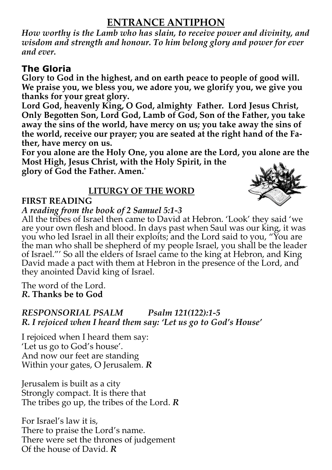# **ENTRANCE ANTIPHON**

*How worthy is the Lamb who has slain, to receive power and divinity, and wisdom and strength and honour. To him belong glory and power for ever and ever.* 

### **The Gloria**

**Glory to God in the highest, and on earth peace to people of good will. We praise you, we bless you, we adore you, we glorify you, we give you thanks for your great glory.** 

**Lord God, heavenly King, O God, almighty Father. Lord Jesus Christ, Only Begotten Son, Lord God, Lamb of God, Son of the Father, you take away the sins of the world, have mercy on us; you take away the sins of the world, receive our prayer; you are seated at the right hand of the Father, have mercy on us.** 

**For you alone are the Holy One, you alone are the Lord, you alone are the Most High, Jesus Christ, with the Holy Spirit, in the glory of God the Father. Amen.'**

#### **LITURGY OF THE WORD**



#### **FIRST READING**

#### *A reading from the book of 2 Samuel 5:1-3*

All the tribes of Israel then came to David at Hebron. 'Look' they said 'we are your own flesh and blood. In days past when Saul was our king, it was you who led Israel in all their exploits; and the Lord said to you, "You are the man who shall be shepherd of my people Israel, you shall be the leader of Israel."' So all the elders of Israel came to the king at Hebron, and King David made a pact with them at Hebron in the presence of the Lord, and they anointed David king of Israel.

The word of the Lord. *R***. Thanks be to God**

### *RESPONSORIAL PSALM Psalm 121(122):1-5 R. I rejoiced when I heard them say: 'Let us go to God's House'*

I rejoiced when I heard them say: 'Let us go to God's house'. And now our feet are standing Within your gates, O Jerusalem. *R*

Jerusalem is built as a city Strongly compact. It is there that The tribes go up, the tribes of the Lord. *R* 

For Israel's law it is, There to praise the Lord's name. There were set the thrones of judgement Of the house of David. *R*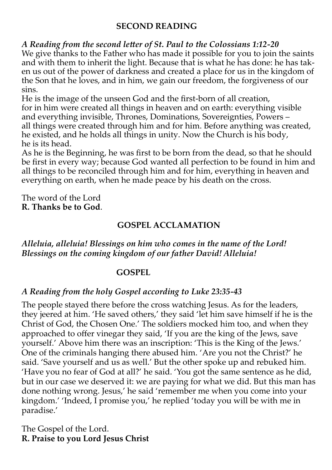#### **SECOND READING**

#### *A Reading from the second letter of St. Paul to the Colossians 1:12-20*

We give thanks to the Father who has made it possible for you to join the saints and with them to inherit the light. Because that is what he has done: he has taken us out of the power of darkness and created a place for us in the kingdom of the Son that he loves, and in him, we gain our freedom, the forgiveness of our sins.

He is the image of the unseen God and the first-born of all creation, for in him were created all things in heaven and on earth: everything visible and everything invisible, Thrones, Dominations, Sovereignties, Powers – all things were created through him and for him. Before anything was created, he existed, and he holds all things in unity. Now the Church is his body, he is its head.

As he is the Beginning, he was first to be born from the dead, so that he should be first in every way; because God wanted all perfection to be found in him and all things to be reconciled through him and for him, everything in heaven and everything on earth, when he made peace by his death on the cross.

The word of the Lord **R. Thanks be to God**.

#### **GOSPEL ACCLAMATION**

#### *Alleluia, alleluia! Blessings on him who comes in the name of the Lord! Blessings on the coming kingdom of our father David! Alleluia!*

#### **GOSPEL**

#### *A Reading from the holy Gospel according to Luke 23:35-43*

The people stayed there before the cross watching Jesus. As for the leaders, they jeered at him. 'He saved others,' they said 'let him save himself if he is the Christ of God, the Chosen One.' The soldiers mocked him too, and when they approached to offer vinegar they said, 'If you are the king of the Jews, save yourself.' Above him there was an inscription: 'This is the King of the Jews.' One of the criminals hanging there abused him. 'Are you not the Christ?' he said. 'Save yourself and us as well.' But the other spoke up and rebuked him. 'Have you no fear of God at all?' he said. 'You got the same sentence as he did, but in our case we deserved it: we are paying for what we did. But this man has done nothing wrong. Jesus,' he said 'remember me when you come into your kingdom.' 'Indeed, I promise you,' he replied 'today you will be with me in paradise.'

The Gospel of the Lord. **R. Praise to you Lord Jesus Christ**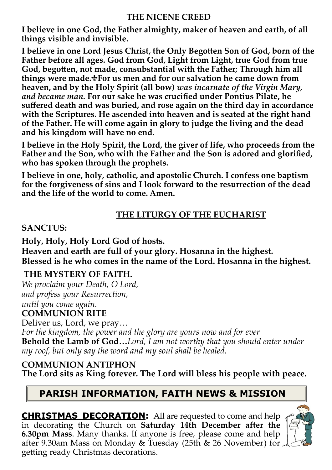#### **THE NICENE CREED**

**I believe in one God, the Father almighty, maker of heaven and earth, of all things visible and invisible.**

**I believe in one Lord Jesus Christ, the Only Begotten Son of God, born of the Father before all ages. God from God, Light from Light, true God from true God, begotten, not made, consubstantial with the Father; Through him all things were made.
For us men and for our salvation he came down from heaven, and by the Holy Spirit (all bow)** *was incarnate of the Virgin Mary, and became man.* **For our sake he was crucified under Pontius Pilate, he suffered death and was buried, and rose again on the third day in accordance with the Scriptures. He ascended into heaven and is seated at the right hand of the Father. He will come again in glory to judge the living and the dead and his kingdom will have no end.** 

**I believe in the Holy Spirit, the Lord, the giver of life, who proceeds from the Father and the Son, who with the Father and the Son is adored and glorified, who has spoken through the prophets.**

**I believe in one, holy, catholic, and apostolic Church. I confess one baptism for the forgiveness of sins and I look forward to the resurrection of the dead and the life of the world to come. Amen.** 

### **THE LITURGY OF THE EUCHARIST**

### **SANCTUS:**

**Holy, Holy, Holy Lord God of hosts. Heaven and earth are full of your glory. Hosanna in the highest. Blessed is he who comes in the name of the Lord. Hosanna in the highest.**

### **THE MYSTERY OF FAITH.**

*We proclaim your Death, O Lord, and profess your Resurrection, until you come again.* 

### **COMMUNION RITE**

Deliver us, Lord, we pray…

*For the kingdom, the power and the glory are yours now and for ever* **Behold the Lamb of God…***Lord, I am not worthy that you should enter under my roof, but only say the word and my soul shall be healed.*

**COMMUNION ANTIPHON The Lord sits as King forever. The Lord will bless his people with peace.** 

# **PARISH INFORMATION, FAITH NEWS & MISSION**

**CHRISTMAS DECORATION:** All are requested to come and help in decorating the Church on **Saturday 14th December after the 6.30pm Mass**. Many thanks. If anyone is free, please come and help after 9.30am Mass on Monday & Tuesday (25th & 26 November) for getting ready Christmas decorations.

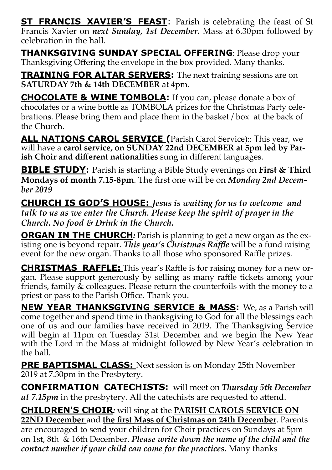**ST FRANCIS XAVIER'S FEAST**: Parish is celebrating the feast of St Francis Xavier on *next Sunday, 1st December.* Mass at 6.30pm followed by celebration in the hall.

**THANKSGIVING SUNDAY SPECIAL OFFERING**: Please drop your Thanksgiving Offering the envelope in the box provided. Many thanks.

**TRAINING FOR ALTAR SERVERS:** The next training sessions are on **SATURDAY 7th & 14th DECEMBER** at 4pm.

**CHOCOLATE & WINE TOMBOLA:** If you can, please donate a box of chocolates or a wine bottle as TOMBOLA prizes for the Christmas Party celebrations. Please bring them and place them in the basket / box at the back of the Church.

**ALL NATIONS CAROL SERVICE (**Parish Carol Service):: This year, we will have a **carol service, on SUNDAY 22nd DECEMBER at 5pm led by Parish Choir and different nationalities** sung in different languages.

**BIBLE STUDY:** Parish is starting a Bible Study evenings on **First & Third Mondays of month 7.15-8pm**. The first one will be on *Monday 2nd December 2019*

**CHURCH IS GOD'S HOUSE:** *Jesus is waiting for us to welcome and talk to us as we enter the Church. Please keep the spirit of prayer in the Church. No food & Drink in the Church.*

**ORGAN IN THE CHURCH**: Parish is planning to get a new organ as the existing one is beyond repair. *This year's Christmas Raffle* will be a fund raising event for the new organ. Thanks to all those who sponsored Raffle prizes.

**CHRISTMAS RAFFLE:** This year's Raffle is for raising money for a new organ. Please support generously by selling as many raffle tickets among your friends, family  $\&$  colleagues. Please return the counterfoils with the money to a priest or pass to the Parish Office. Thank you.

**NEW YEAR THANKSGIVING SERVICE & MASS:** We, as a Parish will come together and spend time in thanksgiving to God for all the blessings each one of us and our families have received in 2019. The Thanksgiving Service will begin at 11pm on Tuesday 31st December and we begin the New Year with the Lord in the Mass at midnight followed by New Year's celebration in the hall.

**PRE BAPTISMAL CLASS:** Next session is on Monday 25th November 2019 at 7.30pm in the Presbytery.

**CONFIRMATION CATECHISTS:** will meet on *Thursday 5th December at 7.15pm* in the presbytery. All the catechists are requested to attend.

**CHILDREN'S CHOIR***:* will sing at the **PARISH CAROLS SERVICE ON 22ND December** and **the first Mass of Christmas on 24th December**. Parents are encouraged to send your children for Choir practices on Sundays at 5pm on 1st, 8th & 16th December. *Please write down the name of the child and the contact number if your child can come for the practices.* Many thanks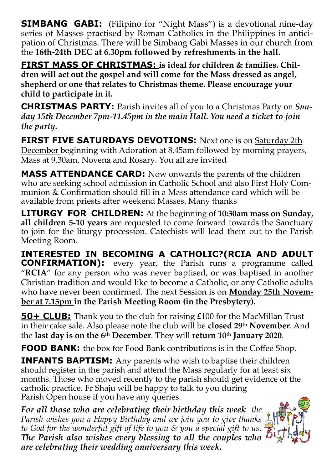**SIMBANG GABI:** (Filipino for "Night Mass") is a devotional nine-day series of Masses practised by Roman Catholics in the Philippines in anticipation of Christmas. There will be Simbang Gabi Masses in our church from the **16th-24th DEC at 6.30pm followed by refreshments in the hall.** 

**FIRST MASS OF CHRISTMAS: is ideal for children & families. Children will act out the gospel and will come for the Mass dressed as angel, shepherd or one that relates to Christmas theme. Please encourage your child to participate in it.** 

**CHRISTMAS PARTY:** Parish invites all of you to a Christmas Party on *Sunday 15th December 7pm-11.45pm in the main Hall. You need a ticket to join the party.*

**FIRST FIVE SATURDAYS DEVOTIONS:** Next one is on **Saturday 2th** December beginning with Adoration at 8.45am followed by morning prayers, Mass at 9.30am, Novena and Rosary. You all are invited

**MASS ATTENDANCE CARD:** Now onwards the parents of the children who are seeking school admission in Catholic School and also First Holy Communion & Confirmation should fill in a Mass attendance card which will be available from priests after weekend Masses. Many thanks

**LITURGY FOR CHILDREN:** At the beginning of **10:30am mass on Sunday, all children 5-10 years** are requested to come forward towards the Sanctuary to join for the liturgy procession. Catechists will lead them out to the Parish Meeting Room.

**INTERESTED IN BECOMING A CATHOLIC?(RCIA AND ADULT CONFIRMATION):** every year, the Parish runs a programme called "**RCIA**" for any person who was never baptised, or was baptised in another Christian tradition and would like to become a Catholic, or any Catholic adults who have never been confirmed. The next Session is on **Monday 25th November at 7.15pm in the Parish Meeting Room (in the Presbytery).**

**50+ CLUB:** Thank you to the club for raising £100 for the MacMillan Trust in their cake sale. Also please note the club will be **closed 29th November**. And the **last day is on the 6th December**. They will **return 10th January 2020**.

**FOOD BANK:** the box for Food Bank contributions is in the Coffee Shop.

**INFANTS BAPTISM:** Any parents who wish to baptise their children should register in the parish and attend the Mass regularly for at least six months. Those who moved recently to the parish should get evidence of the catholic practice. Fr Shaju will be happy to talk to you during Parish Open house if you have any queries.

*For all those who are celebrating their birthday this week the Parish wishes you a Happy Birthday and we join you to give thanks to God for the wonderful gift of life to you & you a special gift to us. The Parish also wishes every blessing to all the couples who are celebrating their wedding anniversary this week.*

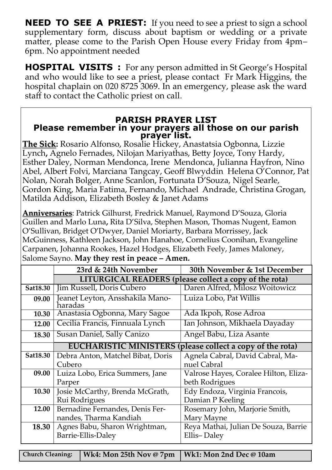**NEED TO SEE A PRIEST:** If you need to see a priest to sign a school supplementary form, discuss about baptism or wedding or a private matter, please come to the Parish Open House every Friday from 4pm– 6pm. No appointment needed

**HOSPITAL VISITS :** For any person admitted in St George's Hospital and who would like to see a priest, please contact Fr Mark Higgins, the hospital chaplain on 020 8725 3069. In an emergency, please ask the ward staff to contact the Catholic priest on call.

#### **PARISH PRAYER LIST Please remember in your prayers all those on our parish prayer list.**

**The Sick:** Rosario Alfonso, Rosalie Hickey, Anastatsia Ogbonna, Lizzie Lynch**,** Agnelo Fernades, Nilojan Mariyathas, Betty Joyce, Tony Hardy, Esther Daley, Norman Mendonca, Irene Mendonca, Julianna Hayfron, Nino Abel, Albert Folvi, Marciana Tangcay, Geoff Blwyddin Helena O'Connor, Pat Nolan, Norah Bolger, Anne Scanlon, Fortunata D'Souza, Nigel Searle, Gordon King, Maria Fatima, Fernando, Michael Andrade, Christina Grogan, Matilda Addison, Elizabeth Bosley & Janet Adams

**Anniversaries**: Patrick Gilhurst, Fredrick Manuel, Raymond D'Souza, Gloria Guillen and Marlo Luna**,** Rita D'Silva, Stephen Mason, Thomas Nugent, Eamon O'Sullivan, Bridget O'Dwyer, Daniel Moriarty, Barbara Morrissey, Jack McGuinness, Kathleen Jackson, John Hanahoe, Cornelius Coonihan, Evangeline Carpanen, Johanna Rookes, Hazel Hodges, Elizabeth Feely, James Maloney, Salome Sayno. **May they rest in peace – Amen.**

|          | 23rd & 24th November                                   | 30th November & 1st December          |  |  |  |
|----------|--------------------------------------------------------|---------------------------------------|--|--|--|
|          | LITURGICAL READERS (please collect a copy of the rota) |                                       |  |  |  |
|          | Sat18.30   Jim Russell, Doris Cubero                   | Daren Alfred, Milosz Woitowicz        |  |  |  |
| 09.00    | Jeanet Leyton, Ansshakila Mano-<br>haradas             | Luiza Lobo, Pat Willis                |  |  |  |
| 10.30    | Anastasia Ogbonna, Mary Sagoe                          | Ada Ikpoh, Rose Adroa                 |  |  |  |
| 12.00    | Cecilia Francis, Finnuala Lynch                        | Ian Johnson, Mikhaela Dayaday         |  |  |  |
| 18.30    | Susan Daniel, Sally Canizo                             | Angel Babu, Liza Asante               |  |  |  |
|          | <b>EUCHARISTIC MINISTERS</b>                           | (please collect a copy of the rota)   |  |  |  |
| Sat18.30 | Debra Anton, Matchel Bibat, Doris                      | Agnela Cabral, David Cabral, Ma-      |  |  |  |
|          | Cubero                                                 | nuel Cabral                           |  |  |  |
| 09.00    | Luiza Lobo, Erica Summers, Jane                        | Valrose Hayes, Coralee Hilton, Eliza- |  |  |  |
|          | Parper                                                 | beth Rodrigues                        |  |  |  |
| 10.30    | Josie McCarthy, Brenda McGrath,                        | Edy Endoza, Virginia Francois,        |  |  |  |
|          | Rui Rodrigues                                          | Damian P Keeling                      |  |  |  |
| 12.00    | Bernadine Fernandes, Denis Fer-                        | Rosemary John, Marjorie Smith,        |  |  |  |
|          | nandes, Tharma Kandiah                                 | Mary Mayne                            |  |  |  |
| 18.30    | Agnes Babu, Sharon Wrightman,                          | Reya Mathai, Julian De Souza, Barrie  |  |  |  |
|          | Barrie-Ellis-Daley                                     | Ellis-Daley                           |  |  |  |

| Church Cleaning:   Wk4: Mon 25th Nov @ 7pm   Wk1: Mon 2nd Dec @ 10am |  |
|----------------------------------------------------------------------|--|